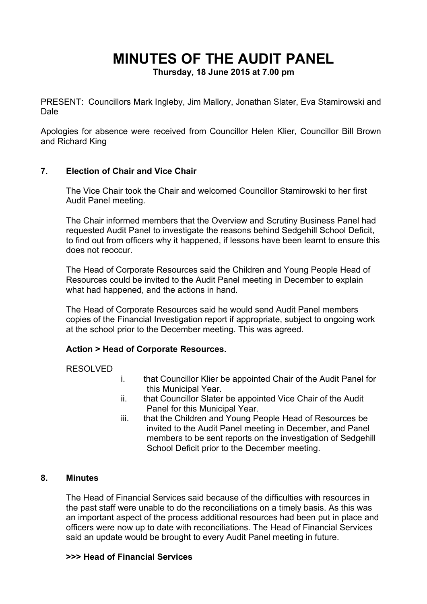# **MINUTES OF THE AUDIT PANEL**

**Thursday, 18 June 2015 at 7.00 pm**

PRESENT: Councillors Mark Ingleby, Jim Mallory, Jonathan Slater, Eva Stamirowski and Dale

Apologies for absence were received from Councillor Helen Klier, Councillor Bill Brown and Richard King

## **7. Election of Chair and Vice Chair**

The Vice Chair took the Chair and welcomed Councillor Stamirowski to her first Audit Panel meeting.

The Chair informed members that the Overview and Scrutiny Business Panel had requested Audit Panel to investigate the reasons behind Sedgehill School Deficit, to find out from officers why it happened, if lessons have been learnt to ensure this does not reoccur.

The Head of Corporate Resources said the Children and Young People Head of Resources could be invited to the Audit Panel meeting in December to explain what had happened, and the actions in hand.

The Head of Corporate Resources said he would send Audit Panel members copies of the Financial Investigation report if appropriate, subject to ongoing work at the school prior to the December meeting. This was agreed.

#### **Action > Head of Corporate Resources.**

# RESOLVED

- i. that Councillor Klier be appointed Chair of the Audit Panel for this Municipal Year.
- ii. that Councillor Slater be appointed Vice Chair of the Audit Panel for this Municipal Year.
- iii. that the Children and Young People Head of Resources be invited to the Audit Panel meeting in December, and Panel members to be sent reports on the investigation of Sedgehill School Deficit prior to the December meeting.

#### **8. Minutes**

The Head of Financial Services said because of the difficulties with resources in the past staff were unable to do the reconciliations on a timely basis. As this was an important aspect of the process additional resources had been put in place and officers were now up to date with reconciliations. The Head of Financial Services said an update would be brought to every Audit Panel meeting in future.

#### **>>> Head of Financial Services**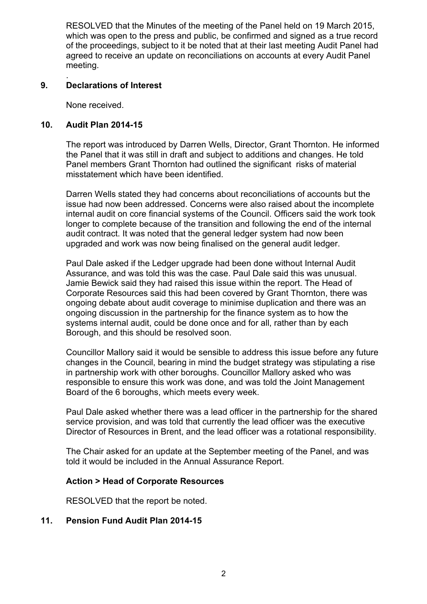RESOLVED that the Minutes of the meeting of the Panel held on 19 March 2015, which was open to the press and public, be confirmed and signed as a true record of the proceedings, subject to it be noted that at their last meeting Audit Panel had agreed to receive an update on reconciliations on accounts at every Audit Panel meeting.

#### . **9. Declarations of Interest**

None received.

# **10. Audit Plan 2014-15**

The report was introduced by Darren Wells, Director, Grant Thornton. He informed the Panel that it was still in draft and subject to additions and changes. He told Panel members Grant Thornton had outlined the significant risks of material misstatement which have been identified.

Darren Wells stated they had concerns about reconciliations of accounts but the issue had now been addressed. Concerns were also raised about the incomplete internal audit on core financial systems of the Council. Officers said the work took longer to complete because of the transition and following the end of the internal audit contract. It was noted that the general ledger system had now been upgraded and work was now being finalised on the general audit ledger.

Paul Dale asked if the Ledger upgrade had been done without Internal Audit Assurance, and was told this was the case. Paul Dale said this was unusual. Jamie Bewick said they had raised this issue within the report. The Head of Corporate Resources said this had been covered by Grant Thornton, there was ongoing debate about audit coverage to minimise duplication and there was an ongoing discussion in the partnership for the finance system as to how the systems internal audit, could be done once and for all, rather than by each Borough, and this should be resolved soon.

Councillor Mallory said it would be sensible to address this issue before any future changes in the Council, bearing in mind the budget strategy was stipulating a rise in partnership work with other boroughs. Councillor Mallory asked who was responsible to ensure this work was done, and was told the Joint Management Board of the 6 boroughs, which meets every week.

Paul Dale asked whether there was a lead officer in the partnership for the shared service provision, and was told that currently the lead officer was the executive Director of Resources in Brent, and the lead officer was a rotational responsibility.

The Chair asked for an update at the September meeting of the Panel, and was told it would be included in the Annual Assurance Report.

# **Action > Head of Corporate Resources**

RESOLVED that the report be noted.

# **11. Pension Fund Audit Plan 2014-15**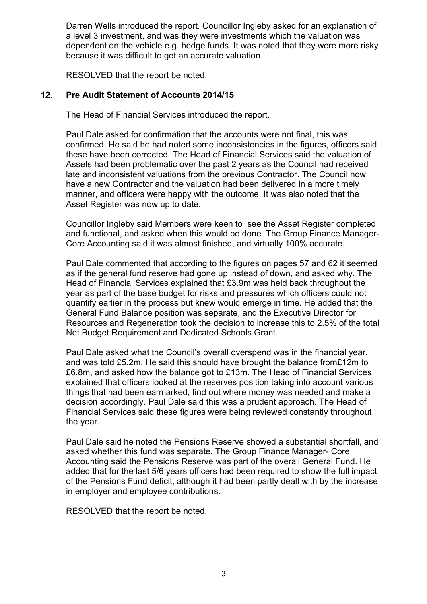Darren Wells introduced the report. Councillor Ingleby asked for an explanation of a level 3 investment, and was they were investments which the valuation was dependent on the vehicle e.g. hedge funds. It was noted that they were more risky because it was difficult to get an accurate valuation.

RESOLVED that the report be noted.

#### **12. Pre Audit Statement of Accounts 2014/15**

The Head of Financial Services introduced the report.

Paul Dale asked for confirmation that the accounts were not final, this was confirmed. He said he had noted some inconsistencies in the figures, officers said these have been corrected. The Head of Financial Services said the valuation of Assets had been problematic over the past 2 years as the Council had received late and inconsistent valuations from the previous Contractor. The Council now have a new Contractor and the valuation had been delivered in a more timely manner, and officers were happy with the outcome. It was also noted that the Asset Register was now up to date.

Councillor Ingleby said Members were keen to see the Asset Register completed and functional, and asked when this would be done. The Group Finance Manager-Core Accounting said it was almost finished, and virtually 100% accurate.

Paul Dale commented that according to the figures on pages 57 and 62 it seemed as if the general fund reserve had gone up instead of down, and asked why. The Head of Financial Services explained that £3.9m was held back throughout the year as part of the base budget for risks and pressures which officers could not quantify earlier in the process but knew would emerge in time. He added that the General Fund Balance position was separate, and the Executive Director for Resources and Regeneration took the decision to increase this to 2.5% of the total Net Budget Requirement and Dedicated Schools Grant.

Paul Dale asked what the Council's overall overspend was in the financial year, and was told £5.2m. He said this should have brought the balance from£12m to £6.8m, and asked how the balance got to £13m. The Head of Financial Services explained that officers looked at the reserves position taking into account various things that had been earmarked, find out where money was needed and make a decision accordingly. Paul Dale said this was a prudent approach. The Head of Financial Services said these figures were being reviewed constantly throughout the year.

Paul Dale said he noted the Pensions Reserve showed a substantial shortfall, and asked whether this fund was separate. The Group Finance Manager- Core Accounting said the Pensions Reserve was part of the overall General Fund. He added that for the last 5/6 years officers had been required to show the full impact of the Pensions Fund deficit, although it had been partly dealt with by the increase in employer and employee contributions.

RESOLVED that the report be noted.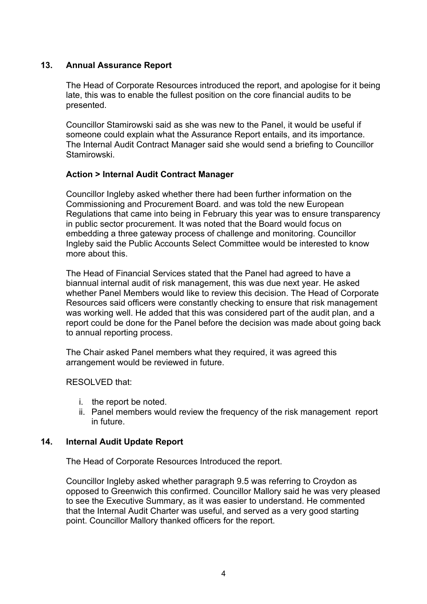# **13. Annual Assurance Report**

The Head of Corporate Resources introduced the report, and apologise for it being late, this was to enable the fullest position on the core financial audits to be presented.

Councillor Stamirowski said as she was new to the Panel, it would be useful if someone could explain what the Assurance Report entails, and its importance. The Internal Audit Contract Manager said she would send a briefing to Councillor Stamirowski.

## **Action > Internal Audit Contract Manager**

Councillor Ingleby asked whether there had been further information on the Commissioning and Procurement Board. and was told the new European Regulations that came into being in February this year was to ensure transparency in public sector procurement. It was noted that the Board would focus on embedding a three gateway process of challenge and monitoring. Councillor Ingleby said the Public Accounts Select Committee would be interested to know more about this.

The Head of Financial Services stated that the Panel had agreed to have a biannual internal audit of risk management, this was due next year. He asked whether Panel Members would like to review this decision. The Head of Corporate Resources said officers were constantly checking to ensure that risk management was working well. He added that this was considered part of the audit plan, and a report could be done for the Panel before the decision was made about going back to annual reporting process.

The Chair asked Panel members what they required, it was agreed this arrangement would be reviewed in future.

RESOLVED that:

- i. the report be noted.
- ii. Panel members would review the frequency of the risk management report in future.

#### **14. Internal Audit Update Report**

The Head of Corporate Resources Introduced the report.

Councillor Ingleby asked whether paragraph 9.5 was referring to Croydon as opposed to Greenwich this confirmed. Councillor Mallory said he was very pleased to see the Executive Summary, as it was easier to understand. He commented that the Internal Audit Charter was useful, and served as a very good starting point. Councillor Mallory thanked officers for the report.